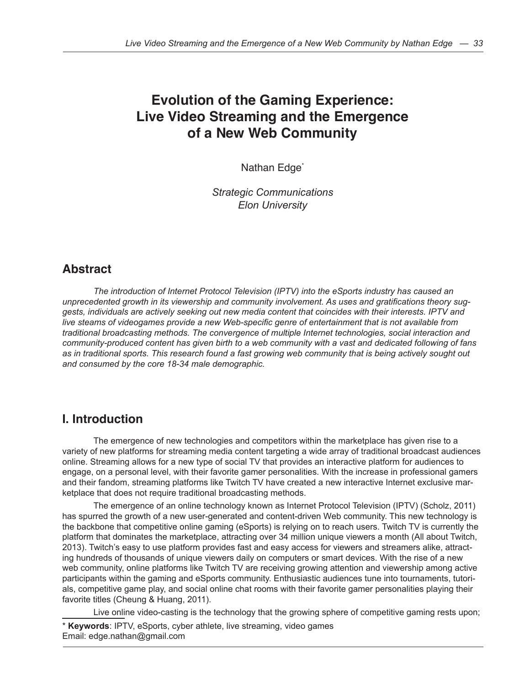# **Evolution of the Gaming Experience: Live Video Streaming and the Emergence of a New Web Community**

Nathan Edge<sup>\*</sup>

*Strategic Communications Elon University* 

## **Abstract**

*The introduction of Internet Protocol Television (IPTV) into the eSports industry has caused an unprecedented growth in its viewership and community involvement. As uses and gratifications theory suggests, individuals are actively seeking out new media content that coincides with their interests. IPTV and live steams of videogames provide a new Web-specific genre of entertainment that is not available from traditional broadcasting methods. The convergence of multiple Internet technologies, social interaction and community-produced content has given birth to a web community with a vast and dedicated following of fans*  as in traditional sports. This research found a fast growing web community that is being actively sought out *and consumed by the core 18-34 male demographic.* 

## **I. Introduction**

The emergence of new technologies and competitors within the marketplace has given rise to a variety of new platforms for streaming media content targeting a wide array of traditional broadcast audiences online. Streaming allows for a new type of social TV that provides an interactive platform for audiences to engage, on a personal level, with their favorite gamer personalities. With the increase in professional gamers and their fandom, streaming platforms like Twitch TV have created a new interactive Internet exclusive marketplace that does not require traditional broadcasting methods.

The emergence of an online technology known as Internet Protocol Television (IPTV) (Scholz, 2011) has spurred the growth of a new user-generated and content-driven Web community. This new technology is the backbone that competitive online gaming (eSports) is relying on to reach users. Twitch TV is currently the platform that dominates the marketplace, attracting over 34 million unique viewers a month (All about Twitch, 2013). Twitch's easy to use platform provides fast and easy access for viewers and streamers alike, attracting hundreds of thousands of unique viewers daily on computers or smart devices. With the rise of a new web community, online platforms like Twitch TV are receiving growing attention and viewership among active participants within the gaming and eSports community. Enthusiastic audiences tune into tournaments, tutorials, competitive game play, and social online chat rooms with their favorite gamer personalities playing their favorite titles (Cheung & Huang, 2011).

Live online video-casting is the technology that the growing sphere of competitive gaming rests upon;

\* **Keywords**: IPTV, eSports, cyber athlete, live streaming, video games Email: edge.nathan@gmail.com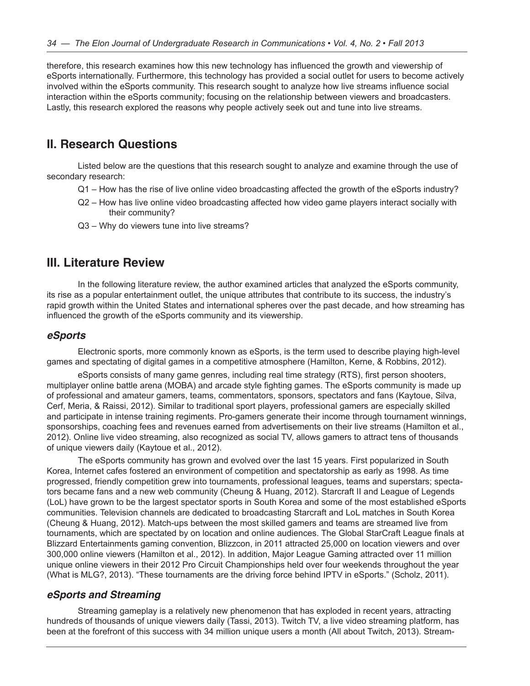therefore, this research examines how this new technology has influenced the growth and viewership of eSports internationally. Furthermore, this technology has provided a social outlet for users to become actively involved within the eSports community. This research sought to analyze how live streams influence social interaction within the eSports community; focusing on the relationship between viewers and broadcasters. Lastly, this research explored the reasons why people actively seek out and tune into live streams.

## **II. Research Questions**

Listed below are the questions that this research sought to analyze and examine through the use of secondary research:

- Q1 How has the rise of live online video broadcasting affected the growth of the eSports industry?
- Q2 How has live online video broadcasting affected how video game players interact socially with their community?
- Q3 Why do viewers tune into live streams?

### **III. Literature Review**

In the following literature review, the author examined articles that analyzed the eSports community, its rise as a popular entertainment outlet, the unique attributes that contribute to its success, the industry's rapid growth within the United States and international spheres over the past decade, and how streaming has influenced the growth of the eSports community and its viewership.

#### *eSports*

Electronic sports, more commonly known as eSports, is the term used to describe playing high-level games and spectating of digital games in a competitive atmosphere (Hamilton, Kerne, & Robbins, 2012).

eSports consists of many game genres, including real time strategy (RTS), first person shooters, multiplayer online battle arena (MOBA) and arcade style fighting games. The eSports community is made up of professional and amateur gamers, teams, commentators, sponsors, spectators and fans (Kaytoue, Silva, Cerf, Meria, & Raissi, 2012). Similar to traditional sport players, professional gamers are especially skilled and participate in intense training regiments. Pro-gamers generate their income through tournament winnings, sponsorships, coaching fees and revenues earned from advertisements on their live streams (Hamilton et al., 2012). Online live video streaming, also recognized as social TV, allows gamers to attract tens of thousands of unique viewers daily (Kaytoue et al., 2012).

The eSports community has grown and evolved over the last 15 years. First popularized in South Korea, Internet cafes fostered an environment of competition and spectatorship as early as 1998. As time progressed, friendly competition grew into tournaments, professional leagues, teams and superstars; spectators became fans and a new web community (Cheung & Huang, 2012). Starcraft II and League of Legends (LoL) have grown to be the largest spectator sports in South Korea and some of the most established eSports communities. Television channels are dedicated to broadcasting Starcraft and LoL matches in South Korea (Cheung & Huang, 2012). Match-ups between the most skilled gamers and teams are streamed live from tournaments, which are spectated by on location and online audiences. The Global StarCraft League finals at Blizzard Entertainments gaming convention, Blizzcon, in 2011 attracted 25,000 on location viewers and over 300,000 online viewers (Hamilton et al., 2012). In addition, Major League Gaming attracted over 11 million unique online viewers in their 2012 Pro Circuit Championships held over four weekends throughout the year (What is MLG?, 2013). "These tournaments are the driving force behind IPTV in eSports." (Scholz, 2011).

#### *eSports and Streaming*

Streaming gameplay is a relatively new phenomenon that has exploded in recent years, attracting hundreds of thousands of unique viewers daily (Tassi, 2013). Twitch TV, a live video streaming platform, has been at the forefront of this success with 34 million unique users a month (All about Twitch, 2013). Stream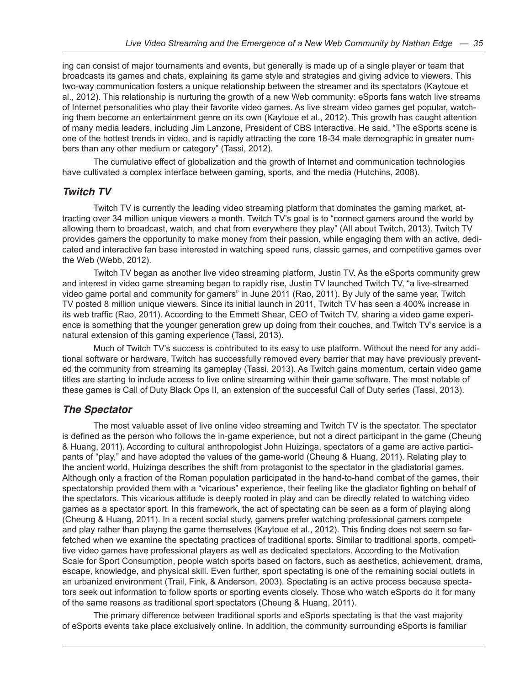ing can consist of major tournaments and events, but generally is made up of a single player or team that broadcasts its games and chats, explaining its game style and strategies and giving advice to viewers. This two-way communication fosters a unique relationship between the streamer and its spectators (Kaytoue et al., 2012). This relationship is nurturing the growth of a new Web community: eSports fans watch live streams of Internet personalities who play their favorite video games. As live stream video games get popular, watching them become an entertainment genre on its own (Kaytoue et al., 2012). This growth has caught attention of many media leaders, including Jim Lanzone, President of CBS Interactive. He said, "The eSports scene is one of the hottest trends in video, and is rapidly attracting the core 18-34 male demographic in greater numbers than any other medium or category" (Tassi, 2012).

The cumulative effect of globalization and the growth of Internet and communication technologies have cultivated a complex interface between gaming, sports, and the media (Hutchins, 2008).

#### *Twitch TV*

Twitch TV is currently the leading video streaming platform that dominates the gaming market, attracting over 34 million unique viewers a month. Twitch TV's goal is to "connect gamers around the world by allowing them to broadcast, watch, and chat from everywhere they play" (All about Twitch, 2013). Twitch TV provides gamers the opportunity to make money from their passion, while engaging them with an active, dedicated and interactive fan base interested in watching speed runs, classic games, and competitive games over the Web (Webb, 2012).

Twitch TV began as another live video streaming platform, Justin TV. As the eSports community grew and interest in video game streaming began to rapidly rise, Justin TV launched Twitch TV, "a live-streamed video game portal and community for gamers" in June 2011 (Rao, 2011). By July of the same year, Twitch TV posted 8 million unique viewers. Since its initial launch in 2011, Twitch TV has seen a 400% increase in its web traffic (Rao, 2011). According to the Emmett Shear, CEO of Twitch TV, sharing a video game experience is something that the younger generation grew up doing from their couches, and Twitch TV's service is a natural extension of this gaming experience (Tassi, 2013).

Much of Twitch TV's success is contributed to its easy to use platform. Without the need for any additional software or hardware, Twitch has successfully removed every barrier that may have previously prevented the community from streaming its gameplay (Tassi, 2013). As Twitch gains momentum, certain video game titles are starting to include access to live online streaming within their game software. The most notable of these games is Call of Duty Black Ops II, an extension of the successful Call of Duty series (Tassi, 2013).

#### *The Spectator*

The most valuable asset of live online video streaming and Twitch TV is the spectator. The spectator is defined as the person who follows the in-game experience, but not a direct participant in the game (Cheung & Huang, 2011). According to cultural anthropologist John Huizinga, spectators of a game are active participants of "play," and have adopted the values of the game-world (Cheung & Huang, 2011). Relating play to the ancient world, Huizinga describes the shift from protagonist to the spectator in the gladiatorial games. Although only a fraction of the Roman population participated in the hand-to-hand combat of the games, their spectatorship provided them with a "vicarious" experience, their feeling like the gladiator fighting on behalf of the spectators. This vicarious attitude is deeply rooted in play and can be directly related to watching video games as a spectator sport. In this framework, the act of spectating can be seen as a form of playing along (Cheung & Huang, 2011). In a recent social study, gamers prefer watching professional gamers compete and play rather than playng the game themselves (Kaytoue et al., 2012). This finding does not seem so farfetched when we examine the spectating practices of traditional sports. Similar to traditional sports, competitive video games have professional players as well as dedicated spectators. According to the Motivation Scale for Sport Consumption, people watch sports based on factors, such as aesthetics, achievement, drama, escape, knowledge, and physical skill. Even further, sport spectating is one of the remaining social outlets in an urbanized environment (Trail, Fink, & Anderson, 2003). Spectating is an active process because spectators seek out information to follow sports or sporting events closely. Those who watch eSports do it for many of the same reasons as traditional sport spectators (Cheung & Huang, 2011).

The primary difference between traditional sports and eSports spectating is that the vast majority of eSports events take place exclusively online. In addition, the community surrounding eSports is familiar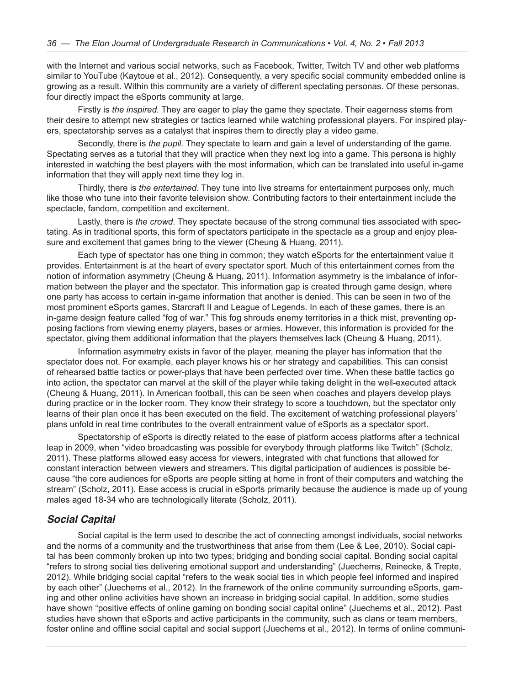with the Internet and various social networks, such as Facebook, Twitter, Twitch TV and other web platforms similar to YouTube (Kaytoue et al., 2012). Consequently, a very specific social community embedded online is growing as a result. Within this community are a variety of different spectating personas. Of these personas, four directly impact the eSports community at large.

Firstly is *the inspired.* They are eager to play the game they spectate. Their eagerness stems from their desire to attempt new strategies or tactics learned while watching professional players. For inspired players, spectatorship serves as a catalyst that inspires them to directly play a video game.

Secondly, there is *the pupil.* They spectate to learn and gain a level of understanding of the game. Spectating serves as a tutorial that they will practice when they next log into a game. This persona is highly interested in watching the best players with the most information, which can be translated into useful in-game information that they will apply next time they log in.

Thirdly, there is *the entertained*. They tune into live streams for entertainment purposes only, much like those who tune into their favorite television show. Contributing factors to their entertainment include the spectacle, fandom, competition and excitement.

Lastly, there is *the crowd*. They spectate because of the strong communal ties associated with spectating. As in traditional sports, this form of spectators participate in the spectacle as a group and enjoy pleasure and excitement that games bring to the viewer (Cheung & Huang, 2011).

Each type of spectator has one thing in common; they watch eSports for the entertainment value it provides. Entertainment is at the heart of every spectator sport. Much of this entertainment comes from the notion of information asymmetry (Cheung & Huang, 2011). Information asymmetry is the imbalance of information between the player and the spectator. This information gap is created through game design, where one party has access to certain in-game information that another is denied. This can be seen in two of the most prominent eSports games, Starcraft II and League of Legends. In each of these games, there is an in-game design feature called "fog of war." This fog shrouds enemy territories in a thick mist, preventing opposing factions from viewing enemy players, bases or armies. However, this information is provided for the spectator, giving them additional information that the players themselves lack (Cheung & Huang, 2011).

Information asymmetry exists in favor of the player, meaning the player has information that the spectator does not. For example, each player knows his or her strategy and capabilities. This can consist of rehearsed battle tactics or power-plays that have been perfected over time. When these battle tactics go into action, the spectator can marvel at the skill of the player while taking delight in the well-executed attack (Cheung & Huang, 2011). In American football, this can be seen when coaches and players develop plays during practice or in the locker room. They know their strategy to score a touchdown, but the spectator only learns of their plan once it has been executed on the field. The excitement of watching professional players' plans unfold in real time contributes to the overall entrainment value of eSports as a spectator sport.

Spectatorship of eSports is directly related to the ease of platform access platforms after a technical leap in 2009, when "video broadcasting was possible for everybody through platforms like Twitch" (Scholz, 2011). These platforms allowed easy access for viewers, integrated with chat functions that allowed for constant interaction between viewers and streamers. This digital participation of audiences is possible because "the core audiences for eSports are people sitting at home in front of their computers and watching the stream" (Scholz, 2011). Ease access is crucial in eSports primarily because the audience is made up of young males aged 18-34 who are technologically literate (Scholz, 2011).

#### *Social Capital*

Social capital is the term used to describe the act of connecting amongst individuals, social networks and the norms of a community and the trustworthiness that arise from them (Lee & Lee, 2010). Social capital has been commonly broken up into two types; bridging and bonding social capital. Bonding social capital "refers to strong social ties delivering emotional support and understanding" (Juechems, Reinecke, & Trepte, 2012). While bridging social capital "refers to the weak social ties in which people feel informed and inspired by each other" (Juechems et al., 2012). In the framework of the online community surrounding eSports, gaming and other online activities have shown an increase in bridging social capital. In addition, some studies have shown "positive effects of online gaming on bonding social capital online" (Juechems et al., 2012). Past studies have shown that eSports and active participants in the community, such as clans or team members, foster online and offline social capital and social support (Juechems et al., 2012). In terms of online communi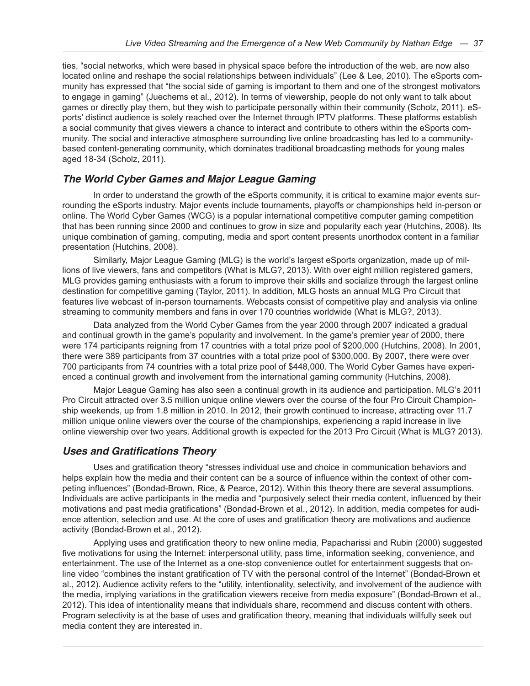ties, "social networks, which were based in physical space before the introduction of the web, are now also located online and reshape the social relationships between individuals" (Lee & Lee, 2010). The eSports community has expressed that "the social side of gaming is important to them and one of the strongest motivators to engage in gaming" (Juechems et al., 2012). In terms of viewership, people do not only want to talk about games or directly play them, but they wish to participate personally within their community (Scholz, 2011). eSports' distinct audience is solely reached over the Internet through IPTV platforms. These platforms establish a social community that gives viewers a chance to interact and contribute to others within the eSports community. The social and interactive atmosphere surrounding live online broadcasting has led to a communitybased content-generating community, which dominates traditional broadcasting methods for young males aged 18-34 (Scholz, 2011).

### *The World Cyber Games and Major League Gaming*

In order to understand the growth of the eSports community, it is critical to examine major events surrounding the eSports industry. Major events include tournaments, playoffs or championships held in-person or online. The World Cyber Games (WCG) is a popular international competitive computer gaming competition that has been running since 2000 and continues to grow in size and popularity each year (Hutchins, 2008). Its unique combination of gaming, computing, media and sport content presents unorthodox content in a familiar presentation (Hutchins, 2008).

Similarly, Major League Gaming (MLG) is the world's largest eSports organization, made up of millions of live viewers, fans and competitors (What is MLG?, 2013). With over eight million registered gamers, MLG provides gaming enthusiasts with a forum to improve their skills and socialize through the largest online destination for competitive gaming (Taylor, 2011). In addition, MLG hosts an annual MLG Pro Circuit that features live webcast of in-person tournaments. Webcasts consist of competitive play and analysis via online streaming to community members and fans in over 170 countries worldwide (What is MLG?, 2013).

Data analyzed from the World Cyber Games from the year 2000 through 2007 indicated a gradual and continual growth in the game's popularity and involvement. In the game's premier year of 2000, there were 174 participants reigning from 17 countries with a total prize pool of \$200,000 (Hutchins, 2008). In 2001, there were 389 participants from 37 countries with a total prize pool of \$300,000. By 2007, there were over 700 participants from 74 countries with a total prize pool of \$448,000. The World Cyber Games have experienced a continual growth and involvement from the international gaming community (Hutchins, 2008).

Major League Gaming has also seen a continual growth in its audience and participation. MLG's 2011 Pro Circuit attracted over 3.5 million unique online viewers over the course of the four Pro Circuit Championship weekends, up from 1.8 million in 2010. In 2012, their growth continued to increase, attracting over 11.7 million unique online viewers over the course of the championships, experiencing a rapid increase in live online viewership over two years. Additional growth is expected for the 2013 Pro Circuit (What is MLG? 2013).

### **Uses and Gratifications Theory**

Uses and gratification theory "stresses individual use and choice in communication behaviors and helps explain how the media and their content can be a source of influence within the context of other competing influences" (Bondad-Brown, Rice, & Pearce, 2012). Within this theory there are several assumptions. Individuals are active participants in the media and "purposively select their media content, influenced by their motivations and past media gratifications" (Bondad-Brown et al., 2012). In addition, media competes for audience attention, selection and use. At the core of uses and gratification theory are motivations and audience activity (Bondad-Brown et al., 2012).

Applying uses and gratification theory to new online media, Papacharissi and Rubin (2000) suggested five motivations for using the Internet: interpersonal utility, pass time, information seeking, convenience, and entertainment. The use of the Internet as a one-stop convenience outlet for entertainment suggests that online video "combines the instant gratification of TV with the personal control of the Internet" (Bondad-Brown et al., 2012). Audience activity refers to the "utility, intentionality, selectivity, and involvement of the audience with the media, implying variations in the gratification viewers receive from media exposure" (Bondad-Brown et al., 2012). This idea of intentionality means that individuals share, recommend and discuss content with others. Program selectivity is at the base of uses and gratification theory, meaning that individuals willfully seek out media content they are interested in.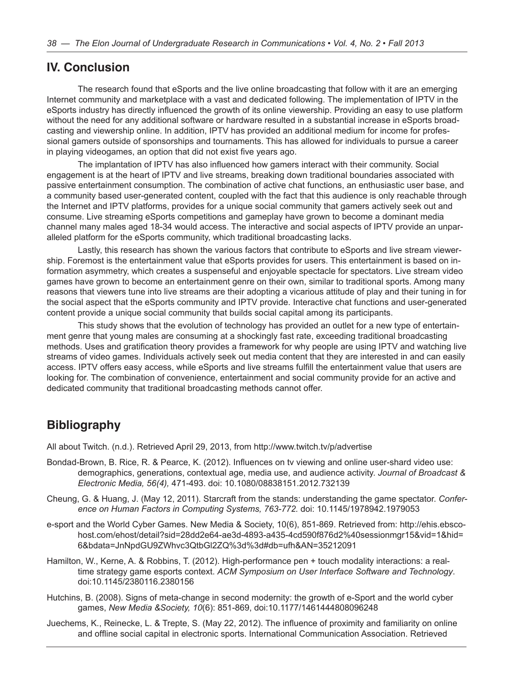### **IV. Conclusion**

The research found that eSports and the live online broadcasting that follow with it are an emerging Internet community and marketplace with a vast and dedicated following. The implementation of IPTV in the eSports industry has directly influenced the growth of its online viewership. Providing an easy to use platform without the need for any additional software or hardware resulted in a substantial increase in eSports broadcasting and viewership online. In addition, IPTV has provided an additional medium for income for professional gamers outside of sponsorships and tournaments. This has allowed for individuals to pursue a career in playing videogames, an option that did not exist five years ago.

The implantation of IPTV has also influenced how gamers interact with their community. Social engagement is at the heart of IPTV and live streams, breaking down traditional boundaries associated with passive entertainment consumption. The combination of active chat functions, an enthusiastic user base, and a community based user-generated content, coupled with the fact that this audience is only reachable through the Internet and IPTV platforms, provides for a unique social community that gamers actively seek out and consume. Live streaming eSports competitions and gameplay have grown to become a dominant media channel many males aged 18-34 would access. The interactive and social aspects of IPTV provide an unparalleled platform for the eSports community, which traditional broadcasting lacks.

Lastly, this research has shown the various factors that contribute to eSports and live stream viewership. Foremost is the entertainment value that eSports provides for users. This entertainment is based on information asymmetry, which creates a suspenseful and enjoyable spectacle for spectators. Live stream video games have grown to become an entertainment genre on their own, similar to traditional sports. Among many reasons that viewers tune into live streams are their adopting a vicarious attitude of play and their tuning in for the social aspect that the eSports community and IPTV provide. Interactive chat functions and user-generated content provide a unique social community that builds social capital among its participants.

This study shows that the evolution of technology has provided an outlet for a new type of entertainment genre that young males are consuming at a shockingly fast rate, exceeding traditional broadcasting methods. Uses and gratification theory provides a framework for why people are using IPTV and watching live streams of video games. Individuals actively seek out media content that they are interested in and can easily access. IPTV offers easy access, while eSports and live streams fulfill the entertainment value that users are looking for. The combination of convenience, entertainment and social community provide for an active and dedicated community that traditional broadcasting methods cannot offer.

### **Bibliography**

All about Twitch. (n.d.). Retrieved April 29, 2013, from http://www.twitch.tv/p/advertise

- Bondad-Brown, B. Rice, R. & Pearce, K. (2012). Influences on tv viewing and online user-shard video use: demographics, generations, contextual age, media use, and audience activity. *Journal of Broadcast & Electronic Media, 56(4),* 471-493. doi: 10.1080/08838151.2012.732139
- Cheung, G. & Huang, J. (May 12, 2011). Starcraft from the stands: understanding the game spectator. *Conference on Human Factors in Computing Systems, 763-772.* doi: 10.1145/1978942.1979053
- e-sport and the World Cyber Games. New Media & Society, 10(6), 851-869. Retrieved from: http://ehis.ebscohost.com/ehost/detail?sid=28dd2e64-ae3d-4893-a435-4cd590f876d2%40sessionmgr15&vid=1&hid= 6&bdata=JnNpdGU9ZWhvc3QtbGl2ZQ%3d%3d#db=ufh&AN=35212091
- Hamilton, W., Kerne, A. & Robbins, T. (2012). High-performance pen + touch modality interactions: a realtime strategy game esports context. *ACM Symposium on User Interface Software and Technology*. doi:10.1145/2380116.2380156
- Hutchins, B. (2008). Signs of meta-change in second modernity: the growth of e-Sport and the world cyber games, *New Media &Society, 10*(6): 851-869, doi:10.1177/1461444808096248
- Juechems, K., Reinecke, L. & Trepte, S. (May 22, 2012). The influence of proximity and familiarity on online and offline social capital in electronic sports. International Communication Association. Retrieved